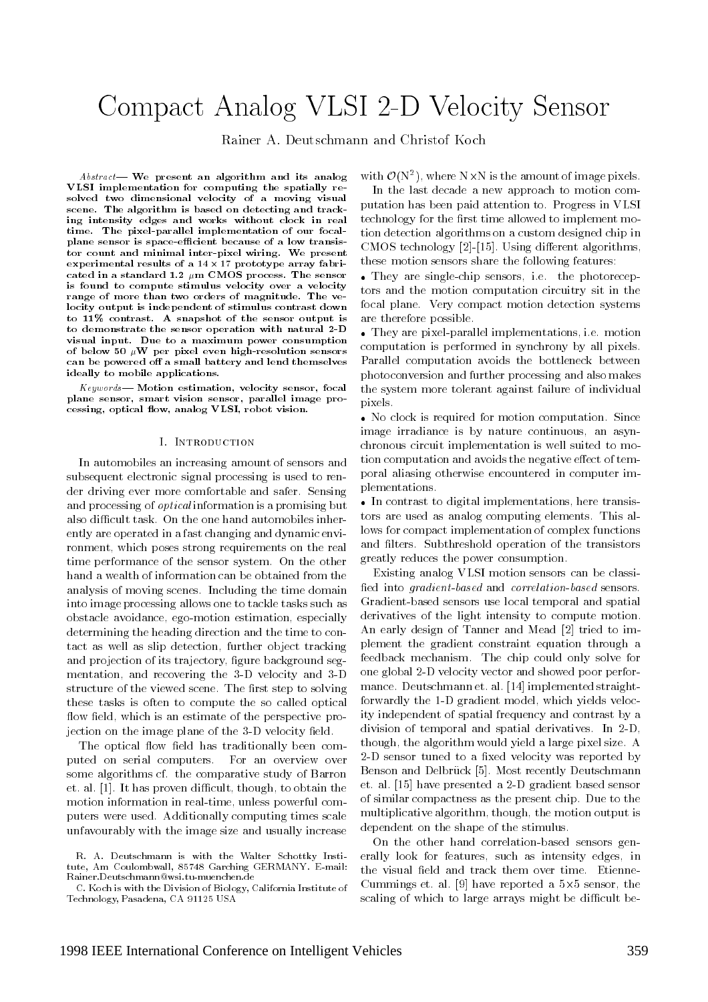# Compact Analog VLSI 2-D Velocity Sensor

Rainer A. Deutschmann and Christof Koch

 $Abstract$  We present an algorithm and its analog VLSI implementation for computing the spatially resolved two dimensional velocity of a moving visual scene. The algorithm is based on detecting and tracking intensity edges and works without clock in real time. The pixel-parallel implementation of our focalplane sensor is space-efficient because of a low transistor count and minimal inter-pixel wiring. We present experimental results of a 14 - 17 prototype array fabricated in a standard 1.2  $\mu$ m CMOS process. The sensor is found to compute stimulus velocity over a velocity range of more than two orders of magnitude. The velocity output is independent of stimulus contrast down to 11% contrast. A snapshot of the sensor output is to demonstrate the sensor operation with natural 2-D visual input. Due to a maximum power consumption of below 50  $\mu$ W per pixel even high-resolution sensors can be powered off a small battery and lend themselves ideally to mobile applications.

 $Keywords$ — Motion estimation, velocity sensor, focal plane sensor, smart vision sensor, parallel image processing, optical flow, analog VLSI, robot vision.

## **I.** INTRODUCTION

In automobiles an increasing amount of sensors and subsequent electronic signal processing is used to render driving ever more comfortable and safer. Sensing and processing of *optical* information is a promising but also difficult task. On the one hand automobiles inherently are operated in a fast changing and dynamic environment, which poses strong requirements on the real time performance of the sensor system. On the other hand a wealth of information can be obtained from the analysis of moving scenes. Including the time domain into image processing allows one to tackle tasks such as obstacle avoidance, ego-motion estimation, especially determining the heading direction and the time to contact as well as slip detection, further object tracking and projection of its trajectory, figure background segmentation, and recovering the 3-D velocity and 3-D structure of the viewed scene. The first step to solving these tasks is often to compute the so called optical flow field, which is an estimate of the perspective projection on the image plane of the 3-D velocity field.

The optical flow field has traditionally been computed on serial computers. For an overview over some algorithms cf. the comparative study of Barron et. al.  $[1]$ . It has proven difficult, though, to obtain the motion information in real-time, unless powerful computers were used. Additionally computing times scale unfavourably with the image size and usually increase

C. Koch is with the Division of Biology, California Institute of Technology, Pasadena, CA 91125 USA

with  $O(N^*)$ , where in XIn is the amount of image pixels.  $\blacksquare$ 

In the last decade a new approach to motion computation has been paid attention to. Progress in VLSI technology for the first time allowed to implement motion detection algorithms on a custom designed chip in  $CMOS$  technology  $[2]$ - $[15]$ . Using different algorithms, these motion sensors share the following features:

 They are single-chip sensors, i.e. the photoreceptors and the motion computation circuitry sit in the focal plane. Very compact motion detection systems are therefore possible.

 They are pixel-parallel implementations, i.e. motion computation is performed in synchrony by all pixels. Parallel computation avoids the bottleneck between photoconversion and further processing and also makes the system more tolerant against failure of individual pixels.

 No clock is required for motion computation. Since image irradiance is by nature continuous, an asynchronous circuit implementation is well suited to motion computation and avoids the negative effect of temporal aliasing otherwise encountered in computer implementations.

 In contrast to digital implementations, here transistors are used as analog computing elements. This allows for compact implementation of complex functions and filters. Subthreshold operation of the transistors greatly reduces the power consumption.

Existing analog VLSI motion sensors can be classi fied into *gradient-based* and *correlation-based* sensors. Gradient-based sensors use local temporal and spatial derivatives of the light intensity to compute motion. An early design of Tanner and Mead [2] tried to implement the gradient constraint equation through a feedback mechanism. The chip could only solve for one global 2-D velocity vector and showed poor performance. Deutschmann et. al. [14] implemented straightforwardly the 1-D gradient model, which yields velocity independent of spatial frequency and contrast by a division of temporal and spatial derivatives. In 2-D, though, the algorithm would yield a large pixel size. A 2-D sensor tuned to a fixed velocity was reported by Benson and Delbrück [5]. Most recently Deutschmann et. al. [15] have presented a 2-D gradient based sensor of similar compactness as the present chip. Due to the multiplicative algorithm, though, the motion output is dependent on the shape of the stimulus.

On the other hand correlation-based sensors generally look for features, such as intensity edges, in the visual field and track them over time. Etienne-Cummings et. al. [9] have reported a 5-5 sensor, the scaling of which to large arrays might be difficult be-

R. A. Deutschmann is with the Walter Schottky Institute, Am Coulombwall, 85748 Garching GERMANY. E-mail: Rainer.Deutschmann@wsi.tu-muenchen.de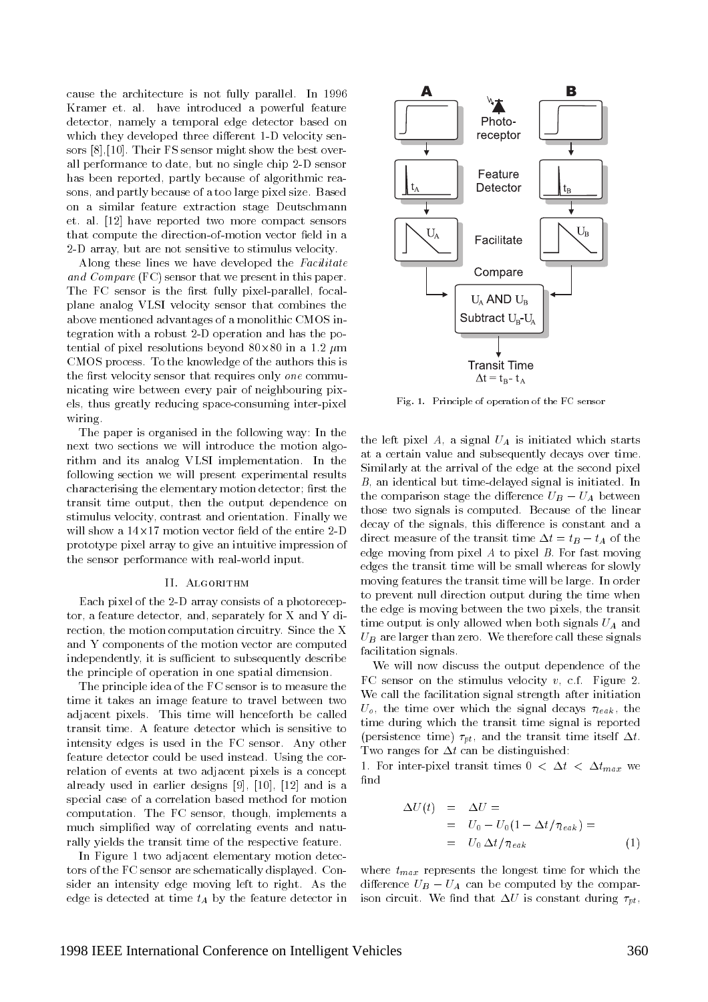cause the architecture is not fully parallel. In 1996 Kramer et. al. have introduced a powerful feature detector, namely a temporal edge detector based on which they developed three different 1-D velocity sensors [8],[10]. Their FS sensor might show the best overall performance to date, but no single chip 2-D sensor has been reported, partly because of algorithmic reasons, and partly because of a too large pixel size. Based on a similar feature extraction stage Deutschmann et. al. [12] have reported two more compact sensors that compute the direction-of-motion vector field in a 2-D array, but are not sensitive to stimulus velocity.

Along these lines we have developed the Facilitate and Compare (FC) sensor that we present in this paper. The FC sensor is the first fully pixel-parallel, focalplane analog VLSI velocity sensor that combines the above mentioned advantages of a monolithic CMOS integration with a robust 2-D operation and has the potential of pixel resolutions beyond 80-80 in a 1.2 m CMOS process. To the knowledge of the authors this is the first velocity sensor that requires only one communicating wire between every pair of neighbouring pixels, thus greatly reducing space-consuming inter-pixel wiring. wiring. The contract of the contract of the contract of the contract of the contract of the contract of the contract of the contract of the contract of the contract of the contract of the contract of the contract of the co

The paper is organised in the following way: In the next two sections we will introduce the motion algorithm and its analog VLSI implementation. In the following section we will present experimental results characterising the elementary motion detector; first the transit time output, then the output dependence on stimulus velocity, contrast and orientation. Finally we  $\cdots$  and  $\cdots$  are the entire  $\cdots$  of the entire  $\cdots$  contracts the entire  $\cdots$ prototype pixel array to give an intuitive impression of the sensor performance with real-world input.

#### II. ALGORITHM

Each pixel of the 2-D array consists of a photoreceptor, a feature detector, and, separately for X and Y direction, the motion computation circuitry. Since the X and Y components of the motion vector are computed independently, it is sufficient to subsequently describe the principle of operation in one spatial dimension.

The principle idea of the FC sensor is to measure the time it takes an image feature to travel between two adjacent pixels. This time will henceforth be called transit time. A feature detector which is sensitive to intensity edges is used in the FC sensor. Any other feature detector could be used instead. Using the correlation of events at two adjacent pixels is a concept  $\frac{1}{1}$ . already used in earlier designs [9], [10], [12] and is a special case of a correlation based method for motion computation. The FC sensor, though, implements a much simplied way of correlating events and naturally yields the transit time of the respective feature.

In Figure 1 two adjacent elementary motion detectors of the FC sensor are schematically displayed. Consider an intensity edge moving left to right. As the edge is detected at time  $t_A$  by the feature detector in



Fig. 1. Principle of operation of the FC sensor

the left pixel A, a signal  $U_A$  is initiated which starts at a certain value and subsequently decays over time. Similarly at the arrival of the edge at the second pixel B, an identical but time-delayed signal is initiated. In the comparison stage the difference  $U_B - U_A$  between those two signals is computed. Because of the linear decay of the signals, this difference is constant and a direct measure of the transit time  $\Delta t = t_B - t_A$  of the edge moving from pixel  $A$  to pixel  $B$ . For fast moving edges the transit time will be small whereas for slowly moving features the transit time will be large. In order to prevent null direction output during the time when the edge is moving between the two pixels, the transit time output is only allowed when both signals  $U_A$  and  $U_B$  are larger than zero. We therefore call these signals facilitation signals.

We will now discuss the output dependence of the FC sensor on the stimulus velocity  $v$ , c.f. Figure 2. We call the facilitation signal strength after initiation  $U_o$ , the time over which the signal decays  $\tau_{leak}$ , the time during which the transit time signal is reported (persistence time)  $\tau_{pt}$ , and the transit time itself  $\Delta t$ . Two ranges for  $\Delta t$  can be distinguished:

1. For inter-pixel transit times  $0 < \Delta t < \Delta t_{max}$  we

$$
\Delta U(t) = \Delta U =
$$
  
=  $U_0 - U_0 (1 - \Delta t / \tau_{leak}) =$   
=  $U_0 \Delta t / \tau_{leak}$  (1)

where  $t_{max}$  represents the longest time for which the difference  $U_B - U_A$  can be computed by the comparison circuit. We find that  $\Delta U$  is constant during  $\tau_{pt}$ ,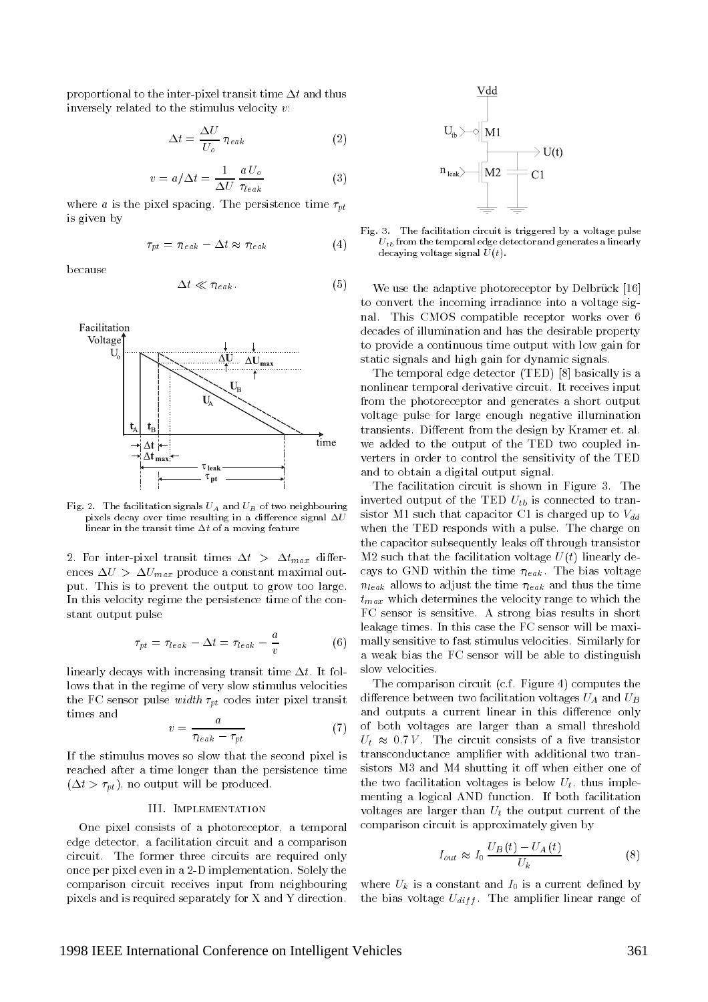proportional to the inter-pixel transit time  $\Delta t$  and thus inversely related to the stimulus velocity  $v$ :

$$
\Delta t = \frac{\Delta U}{U_o} \tau_{leak} \tag{2}
$$

$$
v = a/\Delta t = \frac{1}{\Delta U} \frac{a U_o}{\tau_{leak}} \tag{3}
$$

where a is the pixel spacing. The persistence time  $\tau_{nt}$ is given by

$$
\tau_{pt} = \tau_{leak} - \Delta t \approx \tau_{leak} \tag{4}
$$

because

$$
\Delta t \ll \tau_{leak}.\tag{5}
$$





Fig. 2. The facilitation signals  $U_A$  and  $U_B$  of two neighbouring pixels decay over time resulting in a difference signal  $\Delta U$ linear in the transit time  $\Delta t$  of a moving feature

2. For inter-pixel transit times  $\Delta t > \Delta t_{max}$  differences  $\Delta U > \Delta U_{max}$  produce a constant maximal output. This is to prevent the output to grow too large. In this velocity regime the persistence time of the constant output pulse

$$
\tau_{pt} = \tau_{leak} - \Delta t = \tau_{leak} - \frac{a}{v}
$$
 (6)

linearly decays with increasing transit time  $\Delta t$ . It follows that in the regime of very slow stimulus velocities the FC sensor pulse *width*  $\tau_{pt}$  codes inter pixel transit times and

$$
v = \frac{a}{\tau_{leak} - \tau_{pt}}\tag{7}
$$

If the stimulus moves so slow that the second pixel is reached after a time longer than the persistence time  $(\Delta t > \tau_{pt})$ , no output will be produced.

## III. Implementation

One pixel consists of a photoreceptor, a temporal edge detector, a facilitation circuit and a comparison circuit. The former three circuits are required only once per pixel even in a 2-D implementation. Solely the comparison circuit receives input from neighbouring pixels and is required separately for X and Y direction.



Fig. 3. The facilitation circuit is triggered by a voltage pulse  $U_{tb}$  from the temporal edge detector and generates a linearly decaying voltage signal  $U(t)$ .

We use the adaptive photoreceptor by Delbrück [16] to convert the incoming irradiance into a voltage signal. This CMOS compatible receptor works over 6 decades of illumination and has the desirable property to provide a continuous time output with low gain for static signals and high gain for dynamic signals.

The temporal edge detector (TED) [8] basically is a nonlinear temporal derivative circuit. It receives input from the photoreceptor and generates a short output voltage pulse for large enough negative illumination transients. Different from the design by Kramer et. al. we added to the output of the TED two coupled inverters in order to control the sensitivity of the TED and to obtain a digital output signal.

The facilitation circuit is shown in Figure 3. The inverted output of the TED  $U_{tb}$  is connected to transistor M1 such that capacitor C1 is charged up to  $V_{dd}$ when the TED responds with a pulse. The charge on the capacitor subsequently leaks off through transistor M2 such that the facilitation voltage  $U(t)$  linearly decays to GND within the time  $\tau_{leak}$ . The bias voltage  $n_{leak}$  allows to adjust the time  $\tau_{leak}$  and thus the time  $t_{max}$  which determines the velocity range to which the FC sensor is sensitive. A strong bias results in short leakage times. In this case the FC sensor will be maximally sensitive to fast stimulus velocities. Similarly for a weak bias the FC sensor will be able to distinguish slow velocities.

The comparison circuit (c.f. Figure 4) computes the difference between two facilitation voltages  $U_A$  and  $U_B$ and outputs a current linear in this difference only of both voltages are larger than a small threshold  $U_t \approx 0.7 V$ . The circuit consists of a five transistor transconductance amplier with additional two transistors M3 and M4 shutting it off when either one of the two facilitation voltages is below  $U_t$ , thus implementing a logical AND function. If both facilitation voltages are larger than  $U_t$  the output current of the comparison circuit is approximately given by

$$
I_{out} \approx I_0 \frac{U_B(t) - U_A(t)}{U_k} \tag{8}
$$

where  $U_k$  is a constant and  $I_0$  is a current defined by the bias voltage  $U_{diff}$ . The amplifier linear range of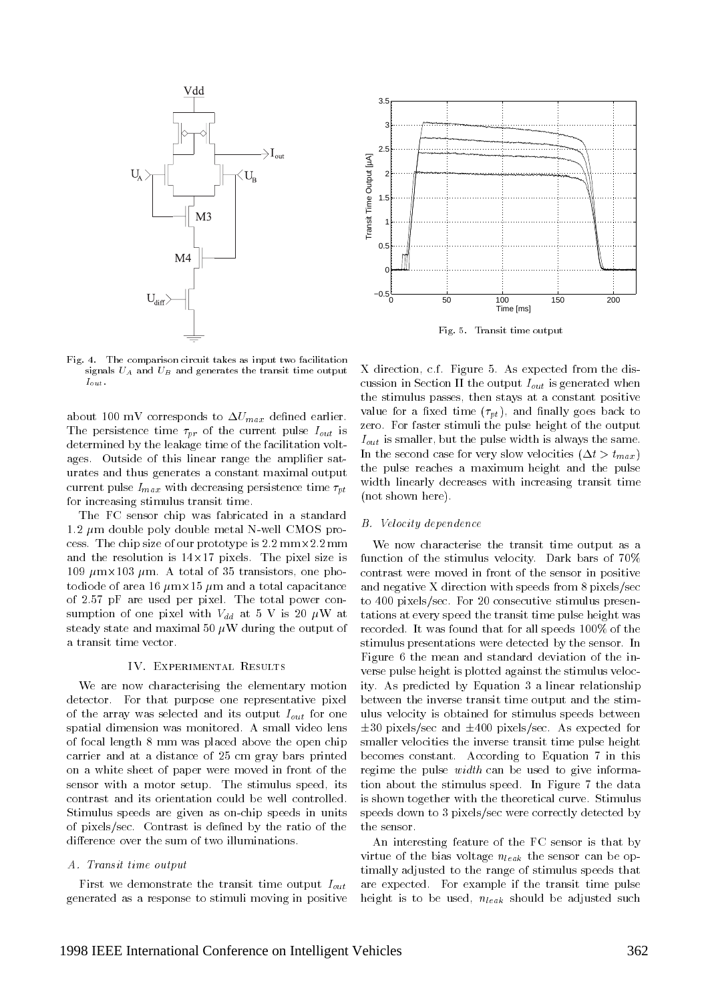

3.5 3 2.5 Transit Time Output [µA] Transit Time Output [µA] 2 1.5 1  $0.5$ 0 −0.5 0 50 100 150 200 100<br>Time [ms]

Fig. 5. Transit time output

Fig. 4. The comparison circuit takes as input two facilitation signals  $U_A$  and  $U_B$  and generates the transit time output  $I_{out}$ .

about 100 mV corresponds to  $\Delta U_{max}$  defined earlier. The persistence time  $\tau_{pr}$  of the current pulse  $I_{out}$  is determined by the leakage time of the facilitation voltages. Outside of this linear range the amplifier saturates and thus generates a constant maximal output current pulse  $I_{max}$  with decreasing persistence time  $\tau_{pt}$ for increasing stimulus transit time.

The FC sensor chip was fabricated in a standard  $1.2 \mu$ m double poly double metal N-well CMOS process. The chip size of our prototype is 2.2 mm-total mass and the resolution is 14-14-14. The pixels is pixels. The pixels is  $\mathcal{L}_1$ 109 metricia processors, one photography and a total original of a total photography to diode of areas in the capacitance in the second capacitance of the total capacitance of the total capacitance of 2.57 pF are used per pixel. The total power consumption of one pixel with  $V_{dd}$  at 5 V is 20  $\mu$ W at steady state and maximal 50  $\mu$ W during the output of a transit time vector.

## IV. Experimental Results

We are now characterising the elementary motion detector. For that purpose one representative pixel of the array was selected and its output  $I_{out}$  for one spatial dimension was monitored. A small video lens of focal length 8 mm was placed above the open chip carrier and at a distance of 25 cm gray bars printed on a white sheet of paper were moved in front of the sensor with a motor setup. The stimulus speed, its contrast and its orientation could be well controlled. Stimulus speeds are given as on-chip speeds in units of pixels/sec. Contrast is defined by the ratio of the difference over the sum of two illuminations.

# A. Transit time output

First we demonstrate the transit time output  $I_{out}$ generated as a response to stimuli moving in positive X direction, c.f. Figure 5. As expected from the discussion in Section II the output  $I_{out}$  is generated when the stimulus passes, then stays at a constant positive value for a fixed time  $(\tau_{pt})$ , and finally goes back to zero. For faster stimuli the pulse height of the output  $I_{out}$  is smaller, but the pulse width is always the same. In the second case for very slow velocities  $(\Delta t > t_{max})$ the pulse reaches a maximum height and the pulse width linearly decreases with increasing transit time (not shown here).

#### B. Velocity dependence

We now characterise the transit time output as a function of the stimulus velocity. Dark bars of 70% contrast were moved in front of the sensor in positive and negative X direction with speeds from 8 pixels/sec to 400 pixels/sec. For 20 consecutive stimulus presentations at every speed the transit time pulse height was recorded. It was found that for all speeds 100% of the stimulus presentations were detected by the sensor. In Figure 6 the mean and standard deviation of the inverse pulse height is plotted against the stimulus velocity. As predicted by Equation 3 a linear relationship between the inverse transit time output and the stimulus velocity is obtained for stimulus speeds between  $\pm 30$  pixels/sec and  $\pm 400$  pixels/sec. As expected for smaller velocities the inverse transit time pulse height becomes constant. According to Equation 7 in this regime the pulse *width* can be used to give information about the stimulus speed. In Figure 7 the data is shown together with the theoretical curve. Stimulus speeds down to 3 pixels/sec were correctly detected by the sensor.

An interesting feature of the FC sensor is that by virtue of the bias voltage  $n_{leak}$  the sensor can be optimally adjusted to the range of stimulus speeds that are expected. For example if the transit time pulse height is to be used,  $n_{leak}$  should be adjusted such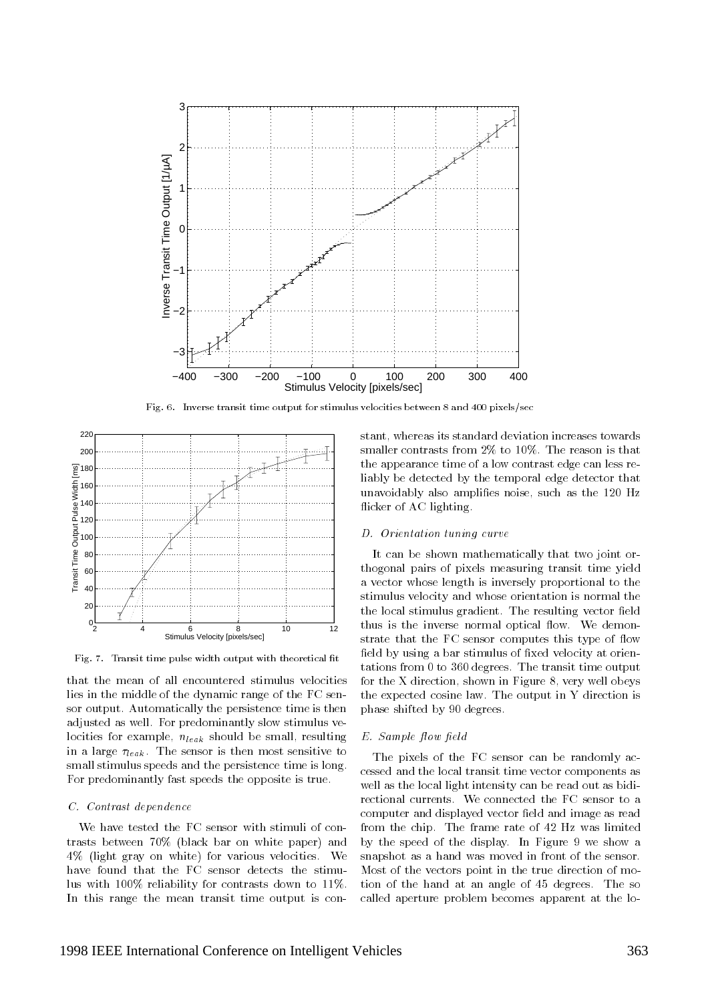

Fig. 6. Inverse transit time output for stimulus velocities between 8 and 400 pixels/sec



Fig. 7. Transit time pulse width output with theoretical fit

that the mean of all encountered stimulus velocities lies in the middle of the dynamic range of the FC sensor output. Automatically the persistence time is then adjusted as well. For predominantly slow stimulus velocities for example,  $n_{leak}$  should be small, resulting in a large  $\tau_{leak}$ . The sensor is then most sensitive to small stimulus speeds and the persistence time is long. For predominantly fast speeds the opposite is true.

## C. Contrast dependence

We have tested the FC sensor with stimuli of contrasts between 70% (black bar on white paper) and 4% (light gray on white) for various velocities. We have found that the FC sensor detects the stimulus with 100% reliability for contrasts down to 11%. In this range the mean transit time output is con-

stant, whereas its standard deviation increases towards smaller contrasts from 2% to 10%. The reason is that the appearance time of a low contrast edge can less reliably be detected by the temporal edge detector that unavoidably also amplifies noise, such as the 120 Hz flicker of AC lighting.

## D. Orientation tuning curve

It can be shown mathematically that two joint orthogonal pairs of pixels measuring transit time yield a vector whose length is inversely proportional to the stimulus velocity and whose orientation is normal the the local stimulus gradient. The resulting vector field thus is the inverse normal optical flow. We demonstrate that the FC sensor computes this type of flow field by using a bar stimulus of fixed velocity at orientations from 0 to 360 degrees. The transit time output for the X direction, shown in Figure 8, very well obeys the expected cosine law. The output in Y direction is phase shifted by 90 degrees.

## E. Sample flow field

The pixels of the FC sensor can be randomly accessed and the local transit time vector components as well as the local light intensity can be read out as bidirectional currents. We connected the FC sensor to a computer and displayed vector field and image as read from the chip. The frame rate of 42 Hz was limited by the speed of the display. In Figure 9 we show a snapshot as a hand was moved in front of the sensor. Most of the vectors point in the true direction of motion of the hand at an angle of 45 degrees. The so called aperture problem becomes apparent at the lo-